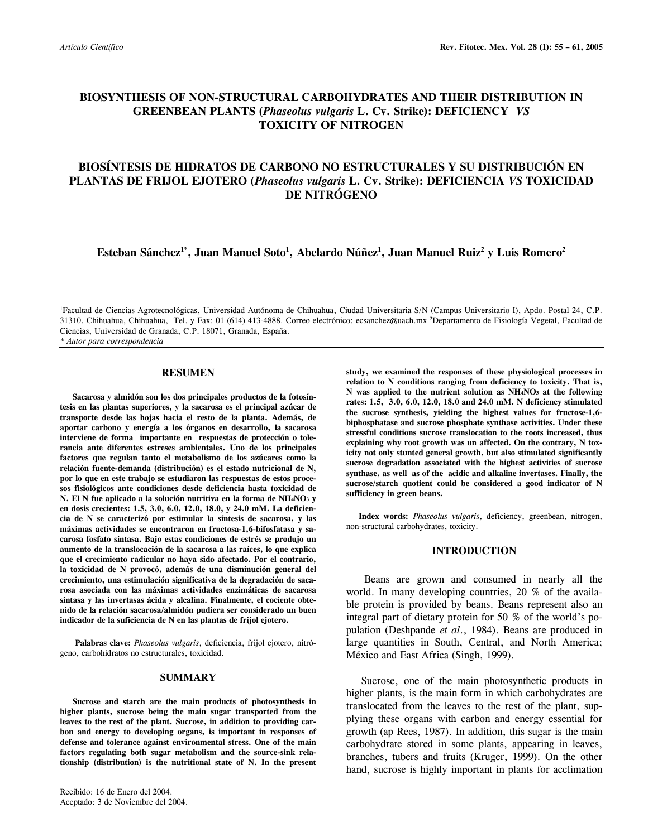# **BIOSYNTHESIS OF NON-STRUCTURAL CARBOHYDRATES AND THEIR DISTRIBUTION IN GREENBEAN PLANTS (***Phaseolus vulgaris* **L. Cv. Strike): DEFICIENCY** *VS*  **TOXICITY OF NITROGEN**

# **BIOSÍNTESIS DE HIDRATOS DE CARBONO NO ESTRUCTURALES Y SU DISTRIBUCIÓN EN PLANTAS DE FRIJOL EJOTERO (***Phaseolus vulgaris* **L. Cv. Strike): DEFICIENCIA** *VS* **TOXICIDAD DE NITRÓGENO**

**Esteban Sánchez1\*, Juan Manuel Soto1 , Abelardo Núñez1 , Juan Manuel Ruiz2 y Luis Romero2**

1 Facultad de Ciencias Agrotecnológicas, Universidad Autónoma de Chihuahua, Ciudad Universitaria S/N (Campus Universitario I), Apdo. Postal 24, C.P. 31310. Chihuahua, Chihuahua, Tel. y Fax: 01 (614) 413-4888. Correo electrónico: ecsanchez@uach.mx 2 Departamento de Fisiología Vegetal, Facultad de Ciencias, Universidad de Granada, C.P. 18071, Granada, España.

*\* Autor para correspondencia* 

## **RESUMEN**

 **Sacarosa y almidón son los dos principales productos de la fotosíntesis en las plantas superiores, y la sacarosa es el principal azúcar de transporte desde las hojas hacia el resto de la planta. Además, de aportar carbono y energía a los órganos en desarrollo, la sacarosa interviene de forma importante en respuestas de protección o tolerancia ante diferentes estreses ambientales. Uno de los principales factores que regulan tanto el metabolismo de los azúcares como la relación fuente-demanda (distribución) es el estado nutricional de N, por lo que en este trabajo se estudiaron las respuestas de estos procesos fisiológicos ante condiciones desde deficiencia hasta toxicidad de N. El N fue aplicado a la solución nutritiva en la forma de NH4NO3 y en dosis crecientes: 1.5, 3.0, 6.0, 12.0, 18.0, y 24.0 mM. La deficiencia de N se caracterizó por estimular la síntesis de sacarosa, y las máximas actividades se encontraron en fructosa-1,6-bifosfatasa y sacarosa fosfato sintasa. Bajo estas condiciones de estrés se produjo un aumento de la translocación de la sacarosa a las raíces, lo que explica que el crecimiento radicular no haya sido afectado. Por el contrario, la toxicidad de N provocó, además de una disminución general del crecimiento, una estimulación significativa de la degradación de sacarosa asociada con las máximas actividades enzimáticas de sacarosa sintasa y las invertasas ácida y alcalina. Finalmente, el cociente obtenido de la relación sacarosa/almidón pudiera ser considerado un buen indicador de la suficiencia de N en las plantas de frijol ejotero.** 

**Palabras clave:** *Phaseolus vulgaris*, deficiencia, frijol ejotero, nitrógeno, carbohidratos no estructurales, toxicidad.

## **SUMMARY**

 **Sucrose and starch are the main products of photosynthesis in higher plants, sucrose being the main sugar transported from the leaves to the rest of the plant. Sucrose, in addition to providing carbon and energy to developing organs, is important in responses of defense and tolerance against environmental stress. One of the main factors regulating both sugar metabolism and the source-sink relationship (distribution) is the nutritional state of N. In the present**  **study, we examined the responses of these physiological processes in relation to N conditions ranging from deficiency to toxicity. That is, N was applied to the nutrient solution as NH4NO3 at the following rates: 1.5, 3.0, 6.0, 12.0, 18.0 and 24.0 mM. N deficiency stimulated the sucrose synthesis, yielding the highest values for fructose-1,6 biphosphatase and sucrose phosphate synthase activities. Under these stressful conditions sucrose translocation to the roots increased, thus explaining why root growth was un affected. On the contrary, N toxicity not only stunted general growth, but also stimulated significantly sucrose degradation associated with the highest activities of sucrose synthase, as well as of the acidic and alkaline invertases. Finally, the sucrose/starch quotient could be considered a good indicator of N sufficiency in green beans.** 

 **Index words:** *Phaseolus vulgaris*, deficiency, greenbean, nitrogen, non-structural carbohydrates, toxicity.

## **INTRODUCTION**

 Beans are grown and consumed in nearly all the world. In many developing countries, 20 % of the available protein is provided by beans. Beans represent also an integral part of dietary protein for 50 % of the world's population (Deshpande *et al*., 1984). Beans are produced in large quantities in South, Central, and North America; México and East Africa (Singh, 1999).

Sucrose, one of the main photosynthetic products in higher plants, is the main form in which carbohydrates are translocated from the leaves to the rest of the plant, supplying these organs with carbon and energy essential for growth (ap Rees, 1987). In addition, this sugar is the main carbohydrate stored in some plants, appearing in leaves, branches, tubers and fruits (Kruger, 1999). On the other hand, sucrose is highly important in plants for acclimation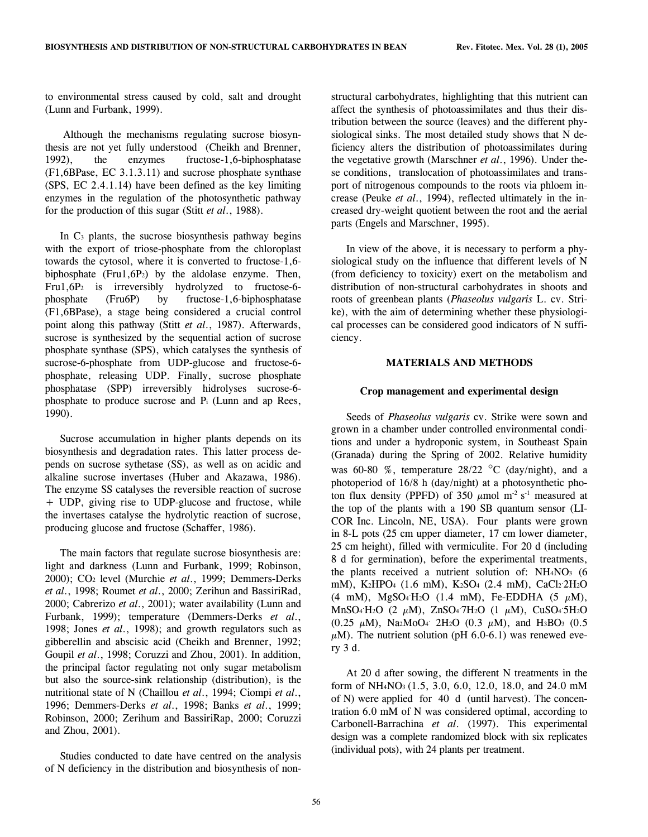to environmental stress caused by cold, salt and drought (Lunn and Furbank, 1999).

 Although the mechanisms regulating sucrose biosynthesis are not yet fully understood (Cheikh and Brenner, 1992), the enzymes fructose-1,6-biphosphatase (F1,6BPase, EC 3.1.3.11) and sucrose phosphate synthase (SPS, EC 2.4.1.14) have been defined as the key limiting enzymes in the regulation of the photosynthetic pathway for the production of this sugar (Stitt *et al*., 1988).

In C3 plants, the sucrose biosynthesis pathway begins with the export of triose-phosphate from the chloroplast towards the cytosol, where it is converted to fructose-1,6 biphosphate (Fru1,6P2) by the aldolase enzyme. Then, Fru1,6P2 is irreversibly hydrolyzed to fructose-6 phosphate (Fru6P) by fructose-1,6-biphosphatase (F1,6BPase), a stage being considered a crucial control point along this pathway (Stitt *et al*., 1987). Afterwards, sucrose is synthesized by the sequential action of sucrose phosphate synthase (SPS), which catalyses the synthesis of sucrose-6-phosphate from UDP-glucose and fructose-6 phosphate, releasing UDP. Finally, sucrose phosphate phosphatase (SPP) irreversibly hidrolyses sucrose-6 phosphate to produce sucrose and Pi (Lunn and ap Rees, 1990).

Sucrose accumulation in higher plants depends on its biosynthesis and degradation rates. This latter process depends on sucrose sythetase (SS), as well as on acidic and alkaline sucrose invertases (Huber and Akazawa, 1986). The enzyme SS catalyses the reversible reaction of sucrose + UDP, giving rise to UDP-glucose and fructose, while the invertases catalyse the hydrolytic reaction of sucrose, producing glucose and fructose (Schaffer, 1986).

The main factors that regulate sucrose biosynthesis are: light and darkness (Lunn and Furbank, 1999; Robinson, 2000); CO2 level (Murchie *et al*., 1999; Demmers-Derks *et al*., 1998; Roumet *et al*., 2000; Zerihun and BassiriRad, 2000; Cabrerizo *et al*., 2001); water availability (Lunn and Furbank, 1999); temperature (Demmers-Derks *et al*., 1998; Jones *et al*., 1998); and growth regulators such as gibberellin and abscisic acid (Cheikh and Brenner, 1992; Goupil *et al*., 1998; Coruzzi and Zhou, 2001). In addition, the principal factor regulating not only sugar metabolism but also the source-sink relationship (distribution), is the nutritional state of N (Chaillou *et al*., 1994; Ciompi *et al*., 1996; Demmers-Derks *et al*., 1998; Banks *et al*., 1999; Robinson, 2000; Zerihum and BassiriRap, 2000; Coruzzi and Zhou, 2001).

Studies conducted to date have centred on the analysis of N deficiency in the distribution and biosynthesis of nonstructural carbohydrates, highlighting that this nutrient can affect the synthesis of photoassimilates and thus their distribution between the source (leaves) and the different physiological sinks. The most detailed study shows that N deficiency alters the distribution of photoassimilates during the vegetative growth (Marschner *et al*., 1996). Under these conditions, translocation of photoassimilates and transport of nitrogenous compounds to the roots via phloem increase (Peuke *et al*., 1994), reflected ultimately in the increased dry-weight quotient between the root and the aerial parts (Engels and Marschner, 1995).

In view of the above, it is necessary to perform a physiological study on the influence that different levels of N (from deficiency to toxicity) exert on the metabolism and distribution of non-structural carbohydrates in shoots and roots of greenbean plants (*Phaseolus vulgaris* L. cv. Strike), with the aim of determining whether these physiological processes can be considered good indicators of N sufficiency.

## **MATERIALS AND METHODS**

## **Crop management and experimental design**

Seeds of *Phaseolus vulgaris* cv. Strike were sown and grown in a chamber under controlled environmental conditions and under a hydroponic system, in Southeast Spain (Granada) during the Spring of 2002. Relative humidity was 60-80 %, temperature 28/22 °C (day/night), and a photoperiod of 16/8 h (day/night) at a photosynthetic photon flux density (PPFD) of 350  $\mu$ mol m<sup>-2</sup> s<sup>-1</sup> measured at the top of the plants with a 190 SB quantum sensor (LI-COR Inc. Lincoln, NE, USA). Four plants were grown in 8-L pots (25 cm upper diameter, 17 cm lower diameter, 25 cm height), filled with vermiculite. For 20 d (including 8 d for germination), before the experimental treatments, the plants received a nutrient solution of:  $NH<sub>4</sub>NO<sub>3</sub>$  (6) mM), K2HPO4 (1.6 mM), K2SO4 (2.4 mM), CaCl2 2H2O (4 mM), MgSO<sub>4</sub>H<sub>2</sub>O (1.4 mM), Fe-EDDHA (5  $\mu$ M), MnSO<sub>4</sub> H<sub>2</sub>O (2  $\mu$ M), ZnSO<sub>4</sub> 7H<sub>2</sub>O (1  $\mu$ M), CuSO<sub>4</sub> 5H<sub>2</sub>O (0.25  $\mu$ M), Na2MoO<sub>4</sub> 2H<sub>2</sub>O (0.3  $\mu$ M), and H<sub>3</sub>BO<sub>3</sub> (0.5  $\mu$ M). The nutrient solution (pH 6.0-6.1) was renewed every 3 d.

At 20 d after sowing, the different N treatments in the form of NH4NO3 (1.5, 3.0, 6.0, 12.0, 18.0, and 24.0 mM of N) were applied for 40 d (until harvest). The concentration 6.0 mM of N was considered optimal, according to Carbonell-Barrachina *et al*. (1997). This experimental design was a complete randomized block with six replicates (individual pots), with 24 plants per treatment.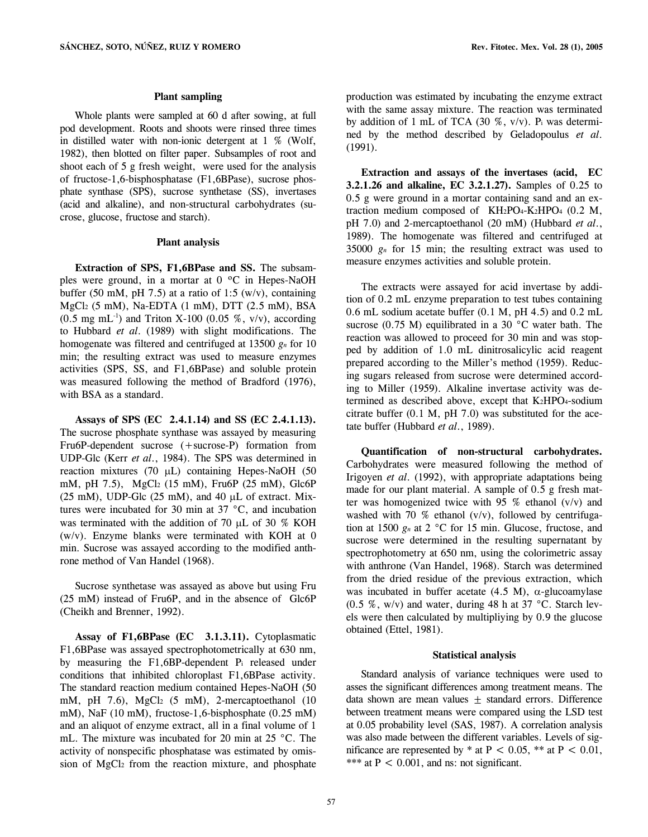#### **Plant sampling**

 Whole plants were sampled at 60 d after sowing, at full pod development. Roots and shoots were rinsed three times in distilled water with non-ionic detergent at 1 % (Wolf, 1982), then blotted on filter paper. Subsamples of root and shoot each of 5 g fresh weight, were used for the analysis of fructose-1,6-bisphosphatase (F1,6BPase), sucrose phosphate synthase (SPS), sucrose synthetase (SS), invertases (acid and alkaline), and non-structural carbohydrates (sucrose, glucose, fructose and starch).

## **Plant analysis**

**Extraction of SPS, F1,6BPase and SS.** The subsamples were ground, in a mortar at 0 ºC in Hepes-NaOH buffer (50 mM, pH 7.5) at a ratio of 1:5 (w/v), containing MgCl2 (5 mM), Na-EDTA (1 mM), DTT (2.5 mM), BSA  $(0.5 \text{ mg } \text{mL}^{-1})$  and Triton X-100  $(0.05 \text{ %}, \text{v/v})$ , according to Hubbard *et al*. (1989) with slight modifications. The homogenate was filtered and centrifuged at 13500 *gn* for 10 min; the resulting extract was used to measure enzymes activities (SPS, SS, and F1,6BPase) and soluble protein was measured following the method of Bradford (1976), with BSA as a standard.

**Assays of SPS (EC 2.4.1.14) and SS (EC 2.4.1.13).**  The sucrose phosphate synthase was assayed by measuring Fru6P-dependent sucrose (+sucrose-P) formation from UDP-Glc (Kerr *et al*., 1984). The SPS was determined in reaction mixtures (70  $\mu$ L) containing Hepes-NaOH (50 mM, pH 7.5), MgCl2 (15 mM), Fru6P (25 mM), Glc6P  $(25 \text{ mM})$ , UDP-Glc  $(25 \text{ mM})$ , and  $40 \mu$ L of extract. Mixtures were incubated for 30 min at 37 °C, and incubation was terminated with the addition of 70 µL of 30 % KOH (w/v). Enzyme blanks were terminated with KOH at 0 min. Sucrose was assayed according to the modified anthrone method of Van Handel (1968).

Sucrose synthetase was assayed as above but using Fru (25 mM) instead of Fru6P, and in the absence of Glc6P (Cheikh and Brenner, 1992).

**Assay of F1,6BPase (EC 3.1.3.11).** Cytoplasmatic F1,6BPase was assayed spectrophotometrically at 630 nm, by measuring the F1,6BP-dependent Pi released under conditions that inhibited chloroplast F1,6BPase activity. The standard reaction medium contained Hepes-NaOH (50 mM, pH 7.6), MgCl<sub>2</sub> (5 mM), 2-mercaptoethanol (10 mM), NaF (10 mM), fructose-1,6-bisphosphate (0.25 mM) and an aliquot of enzyme extract, all in a final volume of 1 mL. The mixture was incubated for 20 min at 25 °C. The activity of nonspecific phosphatase was estimated by omission of MgCl2 from the reaction mixture, and phosphate production was estimated by incubating the enzyme extract with the same assay mixture. The reaction was terminated by addition of 1 mL of TCA (30 %, v/v). Pi was determined by the method described by Geladopoulus *et al*. (1991).

**Extraction and assays of the invertases (acid, EC 3.2.1.26 and alkaline, EC 3.2.1.27).** Samples of 0.25 to 0.5 g were ground in a mortar containing sand and an extraction medium composed of KH2PO4-K2HPO4 (0.2 M, pH 7.0) and 2-mercaptoethanol (20 mM) (Hubbard *et al*., 1989). The homogenate was filtered and centrifuged at 35000 *gn* for 15 min; the resulting extract was used to measure enzymes activities and soluble protein.

The extracts were assayed for acid invertase by addition of 0.2 mL enzyme preparation to test tubes containing 0.6 mL sodium acetate buffer (0.1 M, pH 4.5) and 0.2 mL sucrose (0.75 M) equilibrated in a 30 °C water bath. The reaction was allowed to proceed for 30 min and was stopped by addition of 1.0 mL dinitrosalicylic acid reagent prepared according to the Miller's method (1959). Reducing sugars released from sucrose were determined according to Miller (1959). Alkaline invertase activity was determined as described above, except that K2HPO4-sodium citrate buffer (0.1 M, pH 7.0) was substituted for the acetate buffer (Hubbard *et al*., 1989).

**Quantification of non-structural carbohydrates.** Carbohydrates were measured following the method of Irigoyen *et al*. (1992), with appropriate adaptations being made for our plant material. A sample of 0.5 g fresh matter was homogenized twice with 95  $%$  ethanol (v/v) and washed with 70 % ethanol (v/v), followed by centrifugation at 1500 *gn* at 2 °C for 15 min. Glucose, fructose, and sucrose were determined in the resulting supernatant by spectrophotometry at 650 nm, using the colorimetric assay with anthrone (Van Handel, 1968). Starch was determined from the dried residue of the previous extraction, which was incubated in buffer acetate  $(4.5 M)$ ,  $\alpha$ -glucoamylase (0.5 %, w/v) and water, during 48 h at 37 °C. Starch levels were then calculated by multipliying by 0.9 the glucose obtained (Ettel, 1981).

## **Statistical analysis**

 Standard analysis of variance techniques were used to asses the significant differences among treatment means. The data shown are mean values  $\pm$  standard errors. Difference between treatment means were compared using the LSD test at 0.05 probability level (SAS, 1987). A correlation analysis was also made between the different variables. Levels of significance are represented by  $*$  at P < 0.05,  $**$  at P < 0.01, \*\*\* at  $P < 0.001$ , and ns: not significant.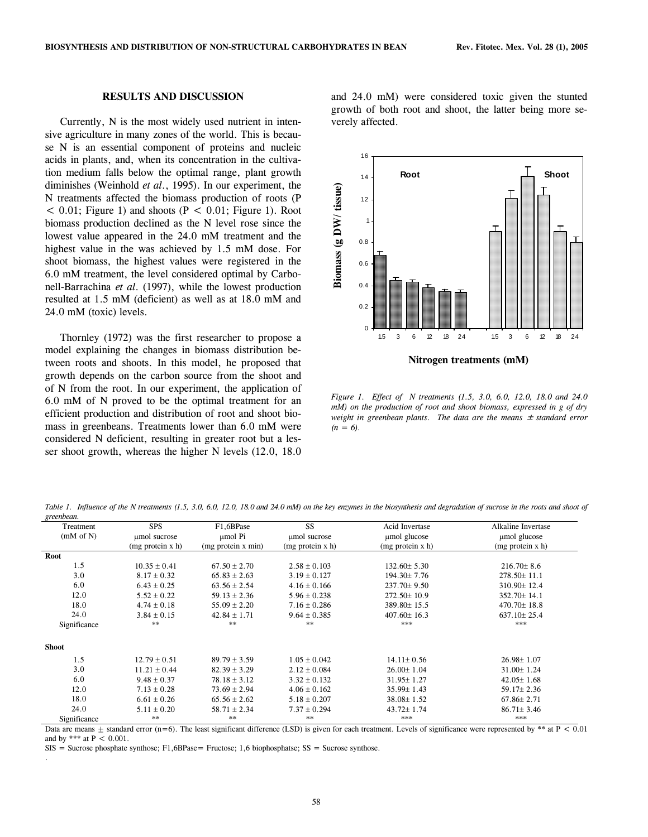# **RESULTS AND DISCUSSION**

Currently, N is the most widely used nutrient in intensive agriculture in many zones of the world. This is because N is an essential component of proteins and nucleic acids in plants, and, when its concentration in the cultivation medium falls below the optimal range, plant growth diminishes (Weinhold *et al*., 1995). In our experiment, the N treatments affected the biomass production of roots (P  $< 0.01$ ; Figure 1) and shoots (P  $< 0.01$ ; Figure 1). Root biomass production declined as the N level rose since the lowest value appeared in the 24.0 mM treatment and the highest value in the was achieved by 1.5 mM dose. For shoot biomass, the highest values were registered in the 6.0 mM treatment, the level considered optimal by Carbonell-Barrachina *et al*. (1997), while the lowest production resulted at 1.5 mM (deficient) as well as at 18.0 mM and 24.0 mM (toxic) levels.

Thornley (1972) was the first researcher to propose a model explaining the changes in biomass distribution between roots and shoots. In this model, he proposed that growth depends on the carbon source from the shoot and of N from the root. In our experiment, the application of 6.0 mM of N proved to be the optimal treatment for an efficient production and distribution of root and shoot biomass in greenbeans. Treatments lower than 6.0 mM were considered N deficient, resulting in greater root but a lesser shoot growth, whereas the higher N levels (12.0, 18.0

and 24.0 mM) were considered toxic given the stunted growth of both root and shoot, the latter being more severely affected.



*Figure 1. Effect of N treatments (1.5, 3.0, 6.0, 12.0, 18.0 and 24.0 mM) on the production of root and shoot biomass, expressed in g of dry weight in greenbean plants. The data are the means*  $\pm$  *standard error*  $(n = 6)$ .

Table 1. Influence of the N treatments (1.5, 3.0, 6.0, 12.0, 18.0 and 24.0 mM) on the key enzymes in the biosynthesis and degradation of sucrose in the roots and shoot of *greenbean.* 

| Treatment    | <b>SPS</b>       | F1,6BPase          | SS                  | <b>Acid Invertase</b> | Alkaline Invertase |
|--------------|------------------|--------------------|---------------------|-----------------------|--------------------|
| (mM of N)    | umol sucrose     | umol Pi            | umol sucrose        | umol glucose          | umol glucose       |
|              | (mg protein x h) | (mg protein x min) | $(mg)$ protein x h) | $(mg)$ protein x h)   | (mg protein x h)   |
| Root         |                  |                    |                     |                       |                    |
| 1.5          | $10.35 \pm 0.41$ | $67.50 \pm 2.70$   | $2.58 \pm 0.103$    | $132.60 \pm 5.30$     | $216.70 \pm 8.6$   |
| 3.0          | $8.17 \pm 0.32$  | $65.83 \pm 2.63$   | $3.19 \pm 0.127$    | $194.30 \pm 7.76$     | $278.50 \pm 11.1$  |
| 6.0          | $6.43 \pm 0.25$  | $63.56 \pm 2.54$   | $4.16 \pm 0.166$    | $237.70 \pm 9.50$     | 310.90±12.4        |
| 12.0         | $5.52 \pm 0.22$  | $59.13 \pm 2.36$   | $5.96 \pm 0.238$    | $272.50 \pm 10.9$     | 352.70±14.1        |
| 18.0         | $4.74 \pm 0.18$  | $55.09 \pm 2.20$   | $7.16 \pm 0.286$    | 389.80±15.5           | $470.70 \pm 18.8$  |
| 24.0         | $3.84 \pm 0.15$  | $42.84 \pm 1.71$   | $9.64 \pm 0.385$    | $407.60 \pm 16.3$     | $637.10 \pm 25.4$  |
| Significance | $**$             | **                 | $**$                | ***                   | ***                |
| <b>Shoot</b> |                  |                    |                     |                       |                    |
| 1.5          | $12.79 \pm 0.51$ | $89.79 \pm 3.59$   | $1.05 \pm 0.042$    | $14.11 \pm 0.56$      | $26.98 \pm 1.07$   |
| 3.0          | $11.21 \pm 0.44$ | $82.39 \pm 3.29$   | $2.12 \pm 0.084$    | $26.00 \pm 1.04$      | $31.00 \pm 1.24$   |
| 6.0          | $9.48 \pm 0.37$  | $78.18 \pm 3.12$   | $3.32 \pm 0.132$    | $31.95 \pm 1.27$      | $42.05 \pm 1.68$   |
| 12.0         | $7.13 \pm 0.28$  | $73.69 \pm 2.94$   | $4.06 \pm 0.162$    | $35.99 \pm 1.43$      | $59.17 \pm 2.36$   |
| 18.0         | $6.61 \pm 0.26$  | $65.56 \pm 2.62$   | $5.18 \pm 0.207$    | $38.08 \pm 1.52$      | $67.86 \pm 2.71$   |
| 24.0         | $5.11 \pm 0.20$  | $58.71 \pm 2.34$   | $7.37 \pm 0.294$    | $43.72 \pm 1.74$      | $86.71 \pm 3.46$   |
| Significance | $***$            | **                 | $***$               | ***                   | ***                |

Data are means  $\pm$  standard error (n=6). The least significant difference (LSD) is given for each treatment. Levels of significance were represented by \*\* at P < 0.01 and by \*\*\* at  $P < 0.001$ .

 $SIS =$  Sucrose phosphate synthose; F1,6BPase= Fructose; 1,6 biophosphatse;  $SS =$  Sucrose synthose.

.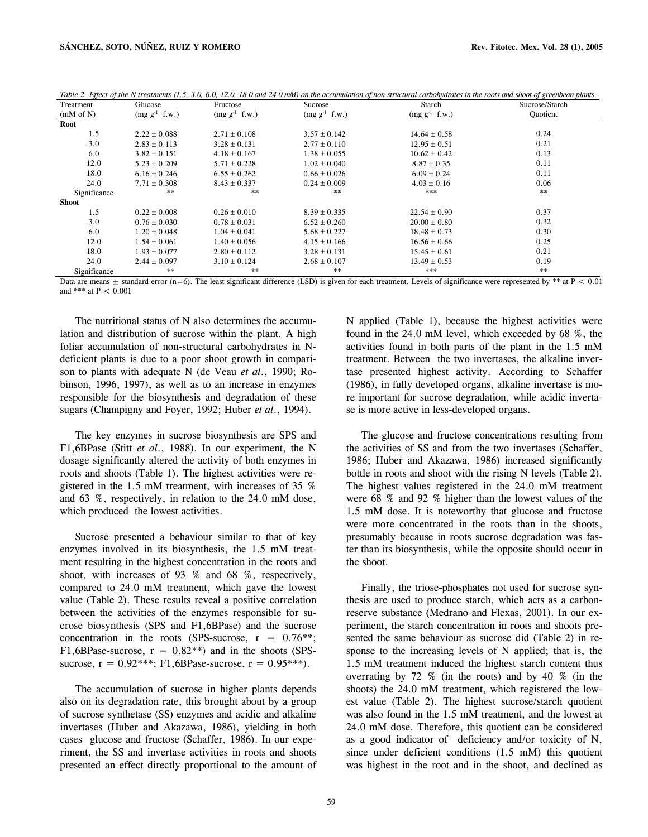| IJ<br>Treatment | Glucose            | Fructose           | Sucrose            | Starch             | <u>JO</u><br>Sucrose/Starch |
|-----------------|--------------------|--------------------|--------------------|--------------------|-----------------------------|
| (mM of N)       | $(mg g^{-1} f.w.)$ | $(mg g^{-1} f.w.)$ | $(mg g^{-1} f.w.)$ | $(mg g^{-1} f.w.)$ | Ouotient                    |
| Root            |                    |                    |                    |                    |                             |
| 1.5             | $2.22 \pm 0.088$   | $2.71 \pm 0.108$   | $3.57 \pm 0.142$   | $14.64 \pm 0.58$   | 0.24                        |
| 3.0             | $2.83 \pm 0.113$   | $3.28 \pm 0.131$   | $2.77 \pm 0.110$   | $12.95 \pm 0.51$   | 0.21                        |
| 6.0             | $3.82 \pm 0.151$   | $4.18 \pm 0.167$   | $1.38 \pm 0.055$   | $10.62 \pm 0.42$   | 0.13                        |
| 12.0            | $5.23 \pm 0.209$   | $5.71 + 0.228$     | $1.02 + 0.040$     | $8.87 \pm 0.35$    | 0.11                        |
| 18.0            | $6.16 \pm 0.246$   | $6.55 \pm 0.262$   | $0.66 \pm 0.026$   | $6.09 \pm 0.24$    | 0.11                        |
| 24.0            | $7.71 \pm 0.308$   | $8.43 \pm 0.337$   | $0.24 \pm 0.009$   | $4.03 \pm 0.16$    | 0.06                        |
| Significance    | **                 | $***$              | $***$              | ***                | $***$                       |
| <b>Shoot</b>    |                    |                    |                    |                    |                             |
| 1.5             | $0.22 \pm 0.008$   | $0.26 \pm 0.010$   | $8.39 \pm 0.335$   | $22.54 \pm 0.90$   | 0.37                        |
| 3.0             | $0.76 \pm 0.030$   | $0.78 \pm 0.031$   | $6.52 \pm 0.260$   | $20.00 \pm 0.80$   | 0.32                        |
| 6.0             | $1.20 + 0.048$     | $1.04 \pm 0.041$   | $5.68 \pm 0.227$   | $18.48 \pm 0.73$   | 0.30                        |
| 12.0            | $1.54 + 0.061$     | $1.40 \pm 0.056$   | $4.15 \pm 0.166$   | $16.56 \pm 0.66$   | 0.25                        |
| 18.0            | $1.93 \pm 0.077$   | $2.80 \pm 0.112$   | $3.28 \pm 0.131$   | $15.45 \pm 0.61$   | 0.21                        |
| 24.0            | $2.44 \pm 0.097$   | $3.10 \pm 0.124$   | $2.68 \pm 0.107$   | $13.49 \pm 0.53$   | 0.19                        |
| Significance    | **                 | **                 | $***$              | ***                | $***$                       |

| Table 2. Effect of the N treatments (1.5, 3.0, 6.0, 12.0, 18.0 and 24.0 mM) on the accumulation of non-structural carbohydrates in the roots and shoot of greenbean plants. |  |  |
|-----------------------------------------------------------------------------------------------------------------------------------------------------------------------------|--|--|
|                                                                                                                                                                             |  |  |

Data are means  $\pm$  standard error (n=6). The least significant difference (LSD) is given for each treatment. Levels of significance were represented by \*\* at P < 0.01 and \*\*\* at  $P < 0.001$ 

The nutritional status of N also determines the accumulation and distribution of sucrose within the plant. A high foliar accumulation of non-structural carbohydrates in Ndeficient plants is due to a poor shoot growth in comparison to plants with adequate N (de Veau *et al*., 1990; Robinson, 1996, 1997), as well as to an increase in enzymes responsible for the biosynthesis and degradation of these sugars (Champigny and Foyer, 1992; Huber *et al*., 1994).

The key enzymes in sucrose biosynthesis are SPS and F1,6BPase (Stitt *et al*., 1988). In our experiment, the N dosage significantly altered the activity of both enzymes in roots and shoots (Table 1). The highest activities were registered in the 1.5 mM treatment, with increases of 35 % and 63 %, respectively, in relation to the 24.0 mM dose, which produced the lowest activities.

Sucrose presented a behaviour similar to that of key enzymes involved in its biosynthesis, the 1.5 mM treatment resulting in the highest concentration in the roots and shoot, with increases of 93 % and 68 %, respectively, compared to 24.0 mM treatment, which gave the lowest value (Table 2). These results reveal a positive correlation between the activities of the enzymes responsible for sucrose biosynthesis (SPS and F1,6BPase) and the sucrose concentration in the roots (SPS-sucrose,  $r = 0.76**$ ; F1,6BPase-sucrose,  $r = 0.82**$ ) and in the shoots (SPSsucrose,  $r = 0.92$ \*\*\*; F1,6BPase-sucrose,  $r = 0.95$ \*\*\*).

The accumulation of sucrose in higher plants depends also on its degradation rate, this brought about by a group of sucrose synthetase (SS) enzymes and acidic and alkaline invertases (Huber and Akazawa, 1986), yielding in both cases glucose and fructose (Schaffer, 1986). In our experiment, the SS and invertase activities in roots and shoots presented an effect directly proportional to the amount of N applied (Table 1), because the highest activities were found in the 24.0 mM level, which exceeded by 68 %, the activities found in both parts of the plant in the 1.5 mM treatment. Between the two invertases, the alkaline invertase presented highest activity. According to Schaffer (1986), in fully developed organs, alkaline invertase is more important for sucrose degradation, while acidic invertase is more active in less-developed organs.

The glucose and fructose concentrations resulting from the activities of SS and from the two invertases (Schaffer, 1986; Huber and Akazawa, 1986) increased significantly bottle in roots and shoot with the rising N levels (Table 2). The highest values registered in the 24.0 mM treatment were 68 % and 92 % higher than the lowest values of the 1.5 mM dose. It is noteworthy that glucose and fructose were more concentrated in the roots than in the shoots, presumably because in roots sucrose degradation was faster than its biosynthesis, while the opposite should occur in the shoot.

Finally, the triose-phosphates not used for sucrose synthesis are used to produce starch, which acts as a carbonreserve substance (Medrano and Flexas, 2001). In our experiment, the starch concentration in roots and shoots presented the same behaviour as sucrose did (Table 2) in response to the increasing levels of N applied; that is, the 1.5 mM treatment induced the highest starch content thus overrating by 72 % (in the roots) and by 40 % (in the shoots) the 24.0 mM treatment, which registered the lowest value (Table 2). The highest sucrose/starch quotient was also found in the 1.5 mM treatment, and the lowest at 24.0 mM dose. Therefore, this quotient can be considered as a good indicator of deficiency and/or toxicity of N, since under deficient conditions (1.5 mM) this quotient was highest in the root and in the shoot, and declined as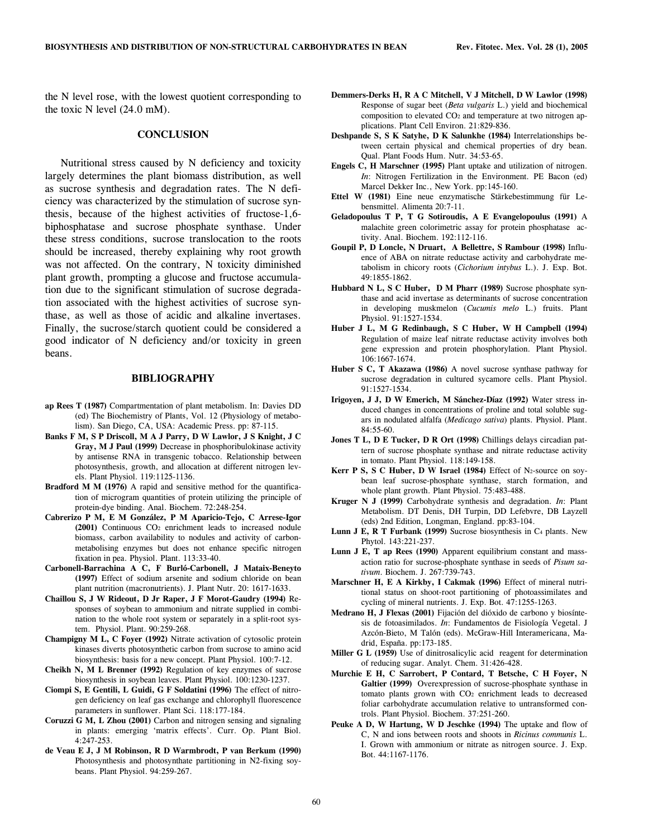the N level rose, with the lowest quotient corresponding to the toxic N level (24.0 mM).

# **CONCLUSION**

 Nutritional stress caused by N deficiency and toxicity largely determines the plant biomass distribution, as well as sucrose synthesis and degradation rates. The N deficiency was characterized by the stimulation of sucrose synthesis, because of the highest activities of fructose-1,6 biphosphatase and sucrose phosphate synthase. Under these stress conditions, sucrose translocation to the roots should be increased, thereby explaining why root growth was not affected. On the contrary, N toxicity diminished plant growth, prompting a glucose and fructose accumulation due to the significant stimulation of sucrose degradation associated with the highest activities of sucrose synthase, as well as those of acidic and alkaline invertases. Finally, the sucrose/starch quotient could be considered a good indicator of N deficiency and/or toxicity in green beans.

# **BIBLIOGRAPHY**

- **ap Rees T (1987)** Compartmentation of plant metabolism. In: Davies DD (ed) The Biochemistry of Plants, Vol. 12 (Physiology of metabolism). San Diego, CA, USA: Academic Press. pp: 87-115.
- **Banks F M, S P Driscoll, M A J Parry, D W Lawlor, J S Knight, J C Gray, M J Paul (1999)** Decrease in phosphoribulokinase activity by antisense RNA in transgenic tobacco. Relationship between photosynthesis, growth, and allocation at different nitrogen levels. Plant Physiol. 119:1125-1136.
- **Bradford M M (1976)** A rapid and sensitive method for the quantification of microgram quantities of protein utilizing the principle of protein-dye binding. Anal. Biochem. 72:248-254.
- **Cabrerizo P M, E M González, P M Aparicio-Tejo, C Arrese-Igor (2001)** Continuous CO2 enrichment leads to increased nodule biomass, carbon availability to nodules and activity of carbonmetabolising enzymes but does not enhance specific nitrogen fixation in pea. Physiol. Plant. 113:33-40.
- **Carbonell-Barrachina A C, F Burló-Carbonell, J Mataix-Beneyto (1997)** Effect of sodium arsenite and sodium chloride on bean plant nutrition (macronutrients). J. Plant Nutr. 20: 1617-1633.
- **Chaillou S, J W Rideout, D Jr Raper, J F Morot-Gaudry (1994)** Responses of soybean to ammonium and nitrate supplied in combination to the whole root system or separately in a split-root system. Physiol. Plant. 90:259-268.
- **Champigny M L, C Foyer (1992)** Nitrate activation of cytosolic protein kinases diverts photosynthetic carbon from sucrose to amino acid biosynthesis: basis for a new concept. Plant Physiol. 100:7-12.
- **Cheikh N, M L Brenner (1992)** Regulation of key enzymes of sucrose biosynthesis in soybean leaves. Plant Physiol. 100:1230-1237.
- **Ciompi S, E Gentili, L Guidi, G F Soldatini (1996)** The effect of nitrogen deficiency on leaf gas exchange and chlorophyll fluorescence parameters in sunflower. Plant Sci. 118:177-184.
- **Coruzzi G M, L Zhou (2001)** Carbon and nitrogen sensing and signaling in plants: emerging 'matrix effects'. Curr. Op. Plant Biol. 4:247-253.
- **de Veau E J, J M Robinson, R D Warmbrodt, P van Berkum (1990)** Photosynthesis and photosynthate partitioning in N2-fixing soybeans. Plant Physiol. 94:259-267.
- **Demmers-Derks H, R A C Mitchell, V J Mitchell, D W Lawlor (1998)** Response of sugar beet (*Beta vulgaris* L.) yield and biochemical composition to elevated CO2 and temperature at two nitrogen applications. Plant Cell Environ. 21:829-836.
- **Deshpande S, S K Satyhe, D K Salunkhe (1984)** Interrelationships between certain physical and chemical properties of dry bean. Qual. Plant Foods Hum. Nutr. 34:53-65.
- **Engels C, H Marschner (1995)** Plant uptake and utilization of nitrogen. *In*: Nitrogen Fertilization in the Environment. PE Bacon (ed) Marcel Dekker Inc., New York. pp:145-160.
- **Ettel W (1981)** Eine neue enzymatische Stärkebestimmung für Lebensmittel. Alimenta 20:7-11.
- **Geladopoulus T P, T G Sotiroudis, A E Evangelopoulus (1991)** A malachite green colorimetric assay for protein phosphatase activity. Anal. Biochem. 192:112-116.
- **Goupil P, D Loncle, N Druart, A Bellettre, S Rambour (1998)** Influence of ABA on nitrate reductase activity and carbohydrate metabolism in chicory roots (*Cichorium intybus* L.). J. Exp. Bot. 49:1855-1862.
- **Hubbard N L, S C Huber, D M Pharr (1989)** Sucrose phosphate synthase and acid invertase as determinants of sucrose concentration in developing muskmelon (*Cucumis melo* L.) fruits. Plant Physiol. 91:1527-1534.
- **Huber J L, M G Redinbaugh, S C Huber, W H Campbell (1994)** Regulation of maize leaf nitrate reductase activity involves both gene expression and protein phosphorylation. Plant Physiol. 106:1667-1674.
- **Huber S C, T Akazawa (1986)** A novel sucrose synthase pathway for sucrose degradation in cultured sycamore cells. Plant Physiol. 91:1527-1534.
- **Irigoyen, J J, D W Emerich, M Sánchez-Díaz (1992)** Water stress induced changes in concentrations of proline and total soluble sugars in nodulated alfalfa (*Medicago sativa*) plants. Physiol. Plant. 84:55-60.
- **Jones T L, D E Tucker, D R Ort (1998)** Chillings delays circadian pattern of sucrose phosphate synthase and nitrate reductase activity in tomato. Plant Physiol. 118:149-158.
- **Kerr P S, S C Huber, D W Israel (1984)** Effect of N2-source on soybean leaf sucrose-phosphate synthase, starch formation, and whole plant growth. Plant Physiol. 75:483-488.
- **Kruger N J (1999)** Carbohydrate synthesis and degradation. *In*: Plant Metabolism. DT Denis, DH Turpin, DD Lefebvre, DB Layzell (eds) 2nd Edition, Longman, England. pp:83-104.
- Lunn J E, R T Furbank (1999) Sucrose biosynthesis in C<sub>4</sub> plants. New Phytol. 143:221-237.
- **Lunn J E, T ap Rees (1990)** Apparent equilibrium constant and massaction ratio for sucrose-phosphate synthase in seeds of *Pisum sativum*. Biochem. J. 267:739-743.
- **Marschner H, E A Kirkby, I Cakmak (1996)** Effect of mineral nutritional status on shoot-root partitioning of photoassimilates and cycling of mineral nutrients. J. Exp. Bot. 47:1255-1263.
- **Medrano H, J Flexas (2001)** Fijación del dióxido de carbono y biosíntesis de fotoasimilados. *In*: Fundamentos de Fisiología Vegetal. J Azcón-Bieto, M Talón (eds). McGraw-Hill Interamericana, Madrid, España. pp:173-185.
- **Miller G L (1959)** Use of dinitrosalicylic acid reagent for determination of reducing sugar. Analyt. Chem. 31:426-428.
- **Murchie E H, C Sarrobert, P Contard, T Betsche, C H Foyer, N Galtier (1999)** Overexpression of sucrose-phosphate synthase in tomato plants grown with CO<sub>2</sub> enrichment leads to decreased foliar carbohydrate accumulation relative to untransformed controls. Plant Physiol. Biochem. 37:251-260.
- **Peuke A D, W Hartung, W D Jeschke (1994)** The uptake and flow of C, N and ions between roots and shoots in *Ricinus communis* L. I. Grown with ammonium or nitrate as nitrogen source. J. Exp. Bot. 44:1167-1176.